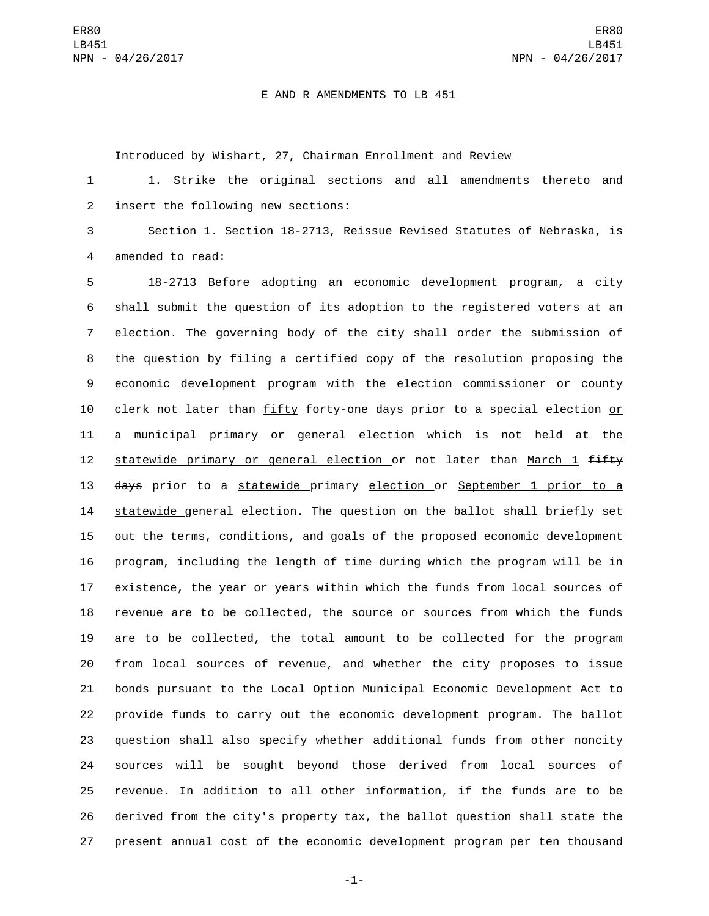## E AND R AMENDMENTS TO LB 451

Introduced by Wishart, 27, Chairman Enrollment and Review

 1. Strike the original sections and all amendments thereto and 2 insert the following new sections:

 Section 1. Section 18-2713, Reissue Revised Statutes of Nebraska, is 4 amended to read:

 18-2713 Before adopting an economic development program, a city shall submit the question of its adoption to the registered voters at an election. The governing body of the city shall order the submission of the question by filing a certified copy of the resolution proposing the economic development program with the election commissioner or county 10 clerk not later than fifty forty-one days prior to a special election or a municipal primary or general election which is not held at the 12 statewide primary or general election or not later than March 1  $f$  days prior to a statewide primary election or September 1 prior to a statewide general election. The question on the ballot shall briefly set out the terms, conditions, and goals of the proposed economic development program, including the length of time during which the program will be in existence, the year or years within which the funds from local sources of revenue are to be collected, the source or sources from which the funds are to be collected, the total amount to be collected for the program from local sources of revenue, and whether the city proposes to issue bonds pursuant to the Local Option Municipal Economic Development Act to provide funds to carry out the economic development program. The ballot question shall also specify whether additional funds from other noncity sources will be sought beyond those derived from local sources of revenue. In addition to all other information, if the funds are to be derived from the city's property tax, the ballot question shall state the present annual cost of the economic development program per ten thousand

-1-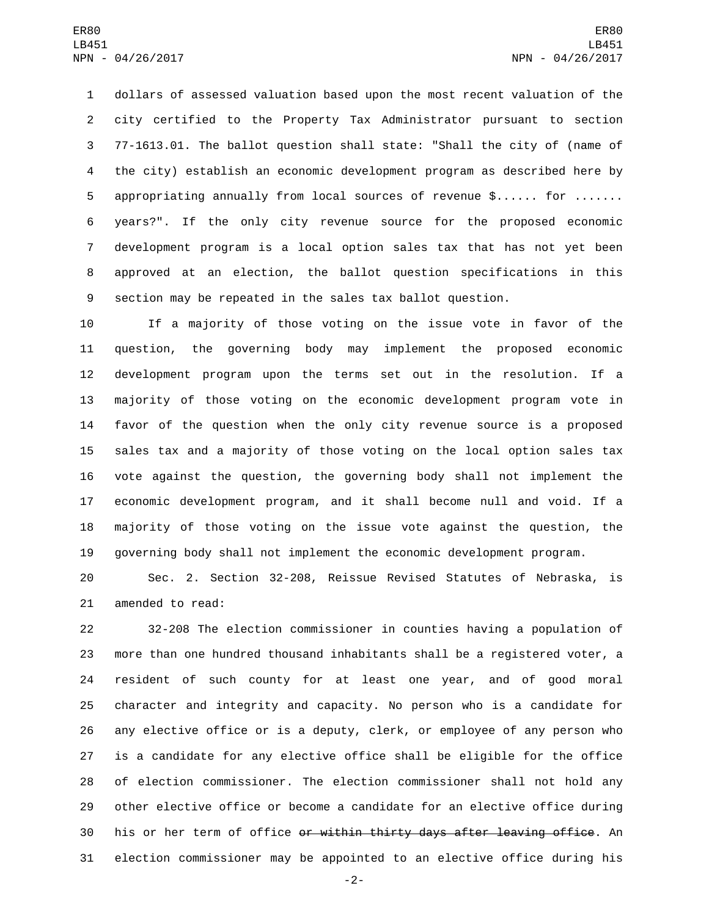dollars of assessed valuation based upon the most recent valuation of the city certified to the Property Tax Administrator pursuant to section 77-1613.01. The ballot question shall state: "Shall the city of (name of the city) establish an economic development program as described here by appropriating annually from local sources of revenue \$...... for ....... years?". If the only city revenue source for the proposed economic development program is a local option sales tax that has not yet been approved at an election, the ballot question specifications in this section may be repeated in the sales tax ballot question.

 If a majority of those voting on the issue vote in favor of the question, the governing body may implement the proposed economic development program upon the terms set out in the resolution. If a majority of those voting on the economic development program vote in favor of the question when the only city revenue source is a proposed sales tax and a majority of those voting on the local option sales tax vote against the question, the governing body shall not implement the economic development program, and it shall become null and void. If a majority of those voting on the issue vote against the question, the governing body shall not implement the economic development program.

 Sec. 2. Section 32-208, Reissue Revised Statutes of Nebraska, is 21 amended to read:

 32-208 The election commissioner in counties having a population of more than one hundred thousand inhabitants shall be a registered voter, a resident of such county for at least one year, and of good moral character and integrity and capacity. No person who is a candidate for any elective office or is a deputy, clerk, or employee of any person who is a candidate for any elective office shall be eligible for the office of election commissioner. The election commissioner shall not hold any other elective office or become a candidate for an elective office during 30 his or her term of office <del>or within thirty days after leaving office</del>. An election commissioner may be appointed to an elective office during his

-2-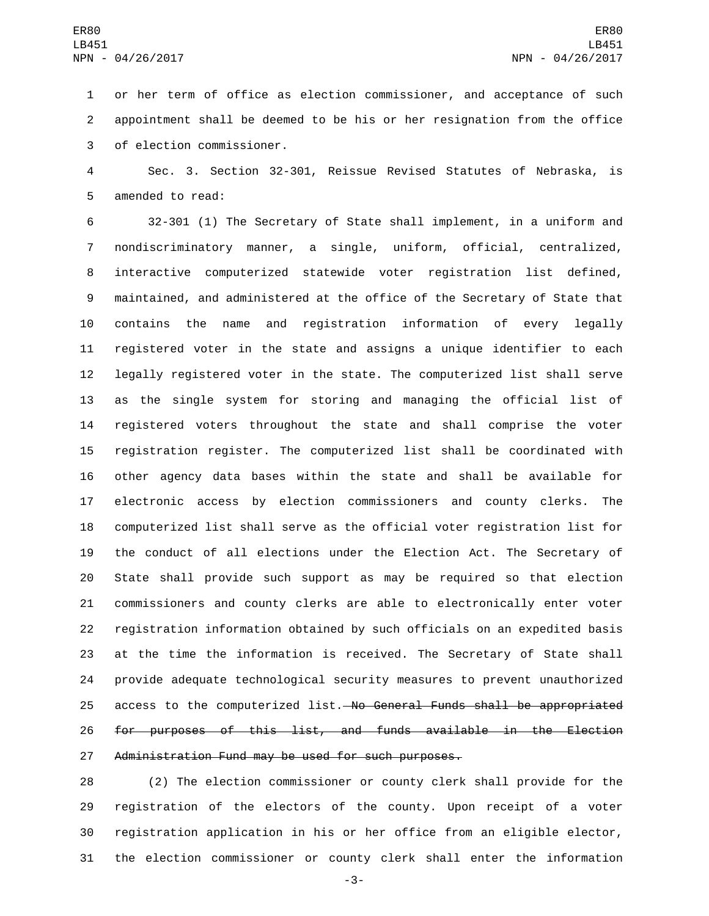or her term of office as election commissioner, and acceptance of such appointment shall be deemed to be his or her resignation from the office 3 of election commissioner.

 Sec. 3. Section 32-301, Reissue Revised Statutes of Nebraska, is 5 amended to read:

 32-301 (1) The Secretary of State shall implement, in a uniform and nondiscriminatory manner, a single, uniform, official, centralized, interactive computerized statewide voter registration list defined, maintained, and administered at the office of the Secretary of State that contains the name and registration information of every legally registered voter in the state and assigns a unique identifier to each legally registered voter in the state. The computerized list shall serve as the single system for storing and managing the official list of registered voters throughout the state and shall comprise the voter registration register. The computerized list shall be coordinated with other agency data bases within the state and shall be available for electronic access by election commissioners and county clerks. The computerized list shall serve as the official voter registration list for the conduct of all elections under the Election Act. The Secretary of State shall provide such support as may be required so that election commissioners and county clerks are able to electronically enter voter registration information obtained by such officials on an expedited basis at the time the information is received. The Secretary of State shall provide adequate technological security measures to prevent unauthorized 25 access to the computerized list. No General Funds shall be appropriated for purposes of this list, and funds available in the Election Administration Fund may be used for such purposes.

 (2) The election commissioner or county clerk shall provide for the registration of the electors of the county. Upon receipt of a voter registration application in his or her office from an eligible elector, the election commissioner or county clerk shall enter the information

-3-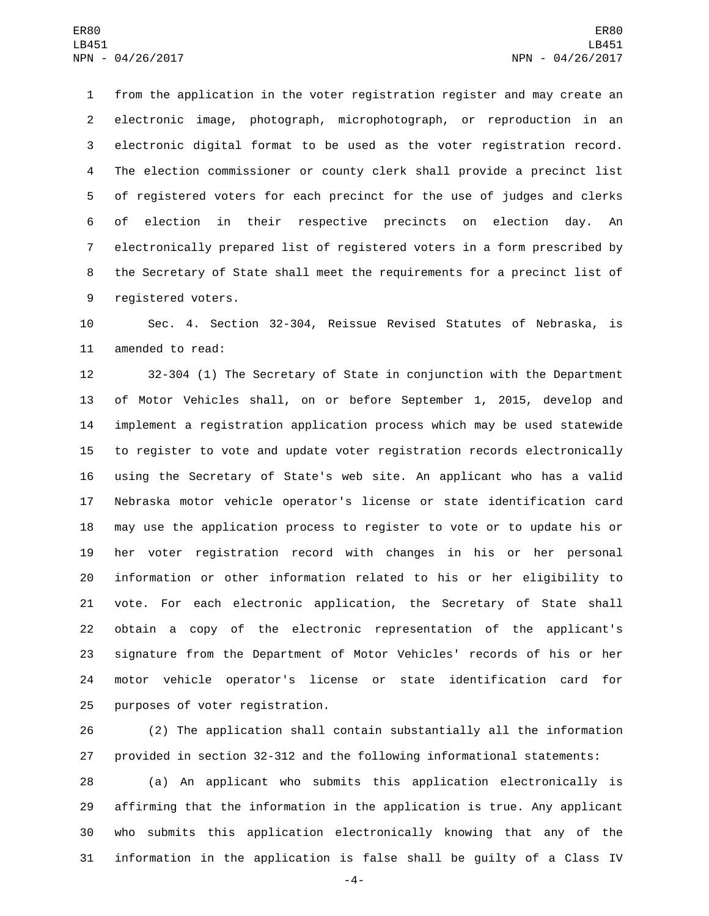from the application in the voter registration register and may create an electronic image, photograph, microphotograph, or reproduction in an electronic digital format to be used as the voter registration record. The election commissioner or county clerk shall provide a precinct list of registered voters for each precinct for the use of judges and clerks of election in their respective precincts on election day. An electronically prepared list of registered voters in a form prescribed by the Secretary of State shall meet the requirements for a precinct list of 9 registered voters.

 Sec. 4. Section 32-304, Reissue Revised Statutes of Nebraska, is 11 amended to read:

 32-304 (1) The Secretary of State in conjunction with the Department of Motor Vehicles shall, on or before September 1, 2015, develop and implement a registration application process which may be used statewide to register to vote and update voter registration records electronically using the Secretary of State's web site. An applicant who has a valid Nebraska motor vehicle operator's license or state identification card may use the application process to register to vote or to update his or her voter registration record with changes in his or her personal information or other information related to his or her eligibility to vote. For each electronic application, the Secretary of State shall obtain a copy of the electronic representation of the applicant's signature from the Department of Motor Vehicles' records of his or her motor vehicle operator's license or state identification card for 25 purposes of voter registration.

 (2) The application shall contain substantially all the information provided in section 32-312 and the following informational statements:

 (a) An applicant who submits this application electronically is affirming that the information in the application is true. Any applicant who submits this application electronically knowing that any of the information in the application is false shall be guilty of a Class IV

-4-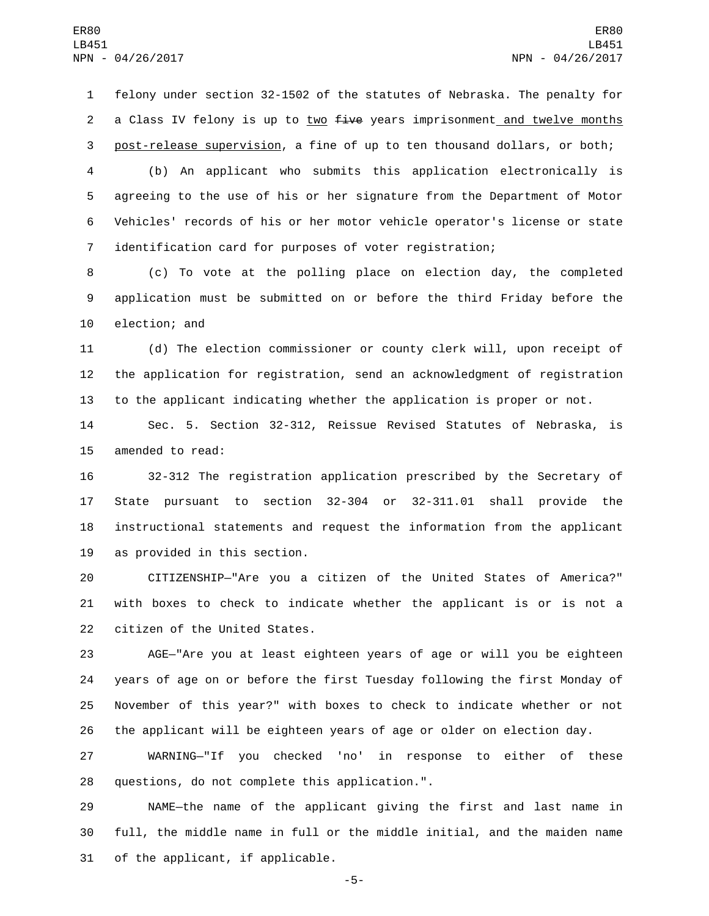felony under section 32-1502 of the statutes of Nebraska. The penalty for 2 a Class IV felony is up to two five years imprisonment and twelve months post-release supervision, a fine of up to ten thousand dollars, or both;

 (b) An applicant who submits this application electronically is agreeing to the use of his or her signature from the Department of Motor Vehicles' records of his or her motor vehicle operator's license or state identification card for purposes of voter registration;

 (c) To vote at the polling place on election day, the completed application must be submitted on or before the third Friday before the 10 election; and

 (d) The election commissioner or county clerk will, upon receipt of the application for registration, send an acknowledgment of registration to the applicant indicating whether the application is proper or not.

 Sec. 5. Section 32-312, Reissue Revised Statutes of Nebraska, is 15 amended to read:

 32-312 The registration application prescribed by the Secretary of State pursuant to section 32-304 or 32-311.01 shall provide the instructional statements and request the information from the applicant 19 as provided in this section.

 CITIZENSHIP—"Are you a citizen of the United States of America?" with boxes to check to indicate whether the applicant is or is not a 22 citizen of the United States.

 AGE—"Are you at least eighteen years of age or will you be eighteen years of age on or before the first Tuesday following the first Monday of November of this year?" with boxes to check to indicate whether or not the applicant will be eighteen years of age or older on election day.

 WARNING—"If you checked 'no' in response to either of these 28 questions, do not complete this application.".

 NAME—the name of the applicant giving the first and last name in full, the middle name in full or the middle initial, and the maiden name 31 of the applicant, if applicable.

-5-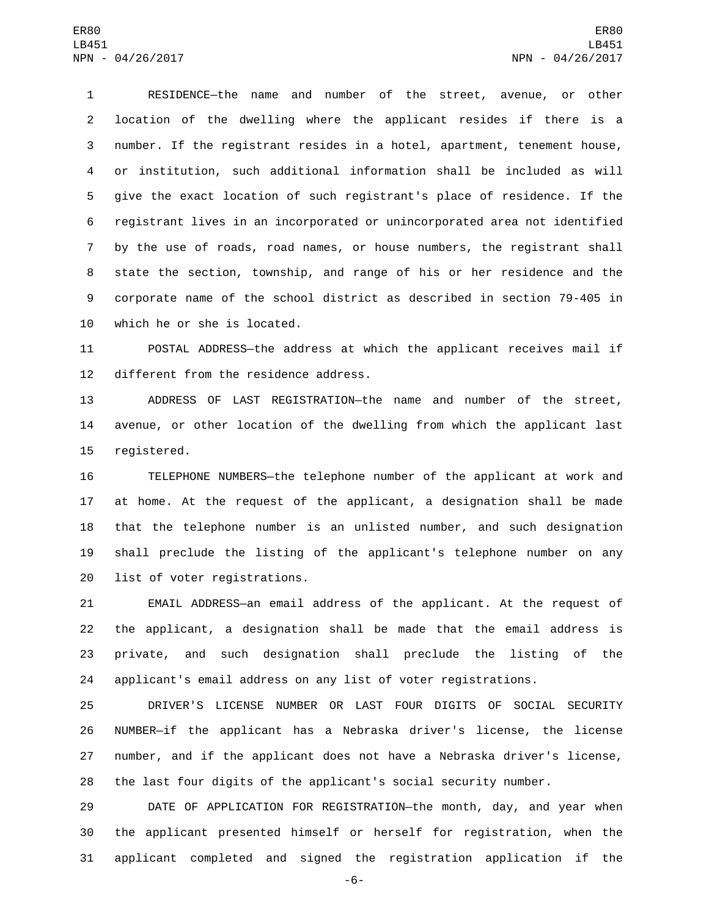RESIDENCE—the name and number of the street, avenue, or other location of the dwelling where the applicant resides if there is a number. If the registrant resides in a hotel, apartment, tenement house, or institution, such additional information shall be included as will give the exact location of such registrant's place of residence. If the registrant lives in an incorporated or unincorporated area not identified by the use of roads, road names, or house numbers, the registrant shall state the section, township, and range of his or her residence and the corporate name of the school district as described in section 79-405 in 10 which he or she is located.

 POSTAL ADDRESS—the address at which the applicant receives mail if 12 different from the residence address.

 ADDRESS OF LAST REGISTRATION—the name and number of the street, avenue, or other location of the dwelling from which the applicant last 15 registered.

 TELEPHONE NUMBERS—the telephone number of the applicant at work and at home. At the request of the applicant, a designation shall be made that the telephone number is an unlisted number, and such designation shall preclude the listing of the applicant's telephone number on any 20 list of voter registrations.

 EMAIL ADDRESS—an email address of the applicant. At the request of the applicant, a designation shall be made that the email address is private, and such designation shall preclude the listing of the applicant's email address on any list of voter registrations.

 DRIVER'S LICENSE NUMBER OR LAST FOUR DIGITS OF SOCIAL SECURITY NUMBER—if the applicant has a Nebraska driver's license, the license number, and if the applicant does not have a Nebraska driver's license, the last four digits of the applicant's social security number.

 DATE OF APPLICATION FOR REGISTRATION—the month, day, and year when the applicant presented himself or herself for registration, when the applicant completed and signed the registration application if the

-6-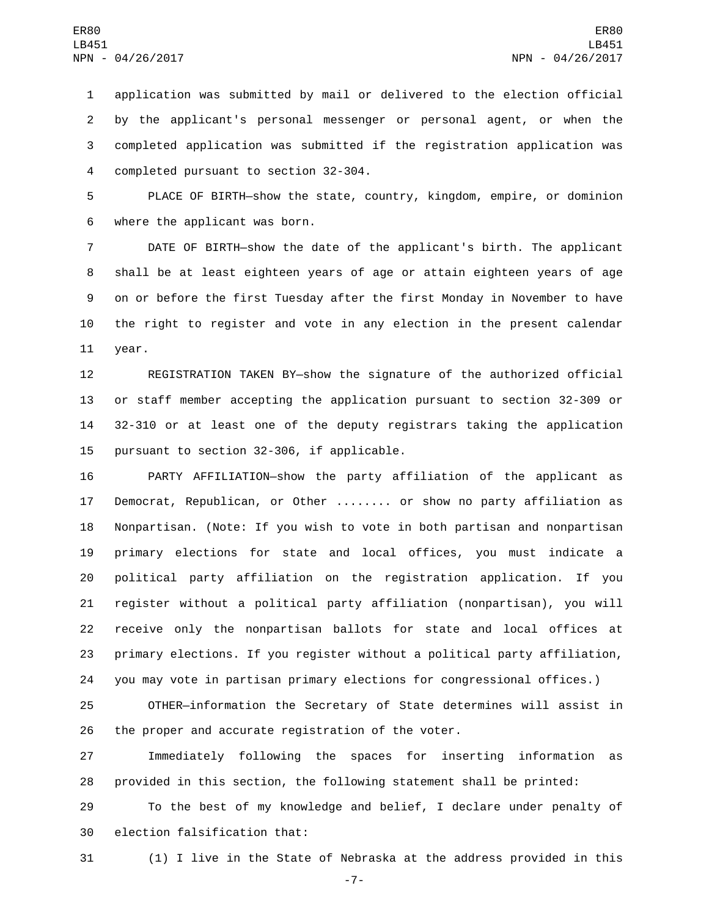application was submitted by mail or delivered to the election official by the applicant's personal messenger or personal agent, or when the completed application was submitted if the registration application was 4 completed pursuant to section 32-304.

 PLACE OF BIRTH—show the state, country, kingdom, empire, or dominion 6 where the applicant was born.

 DATE OF BIRTH—show the date of the applicant's birth. The applicant shall be at least eighteen years of age or attain eighteen years of age on or before the first Tuesday after the first Monday in November to have the right to register and vote in any election in the present calendar 11 year.

 REGISTRATION TAKEN BY—show the signature of the authorized official or staff member accepting the application pursuant to section 32-309 or 32-310 or at least one of the deputy registrars taking the application 15 pursuant to section 32-306, if applicable.

 PARTY AFFILIATION—show the party affiliation of the applicant as Democrat, Republican, or Other ........ or show no party affiliation as Nonpartisan. (Note: If you wish to vote in both partisan and nonpartisan primary elections for state and local offices, you must indicate a political party affiliation on the registration application. If you register without a political party affiliation (nonpartisan), you will receive only the nonpartisan ballots for state and local offices at primary elections. If you register without a political party affiliation, you may vote in partisan primary elections for congressional offices.)

 OTHER—information the Secretary of State determines will assist in the proper and accurate registration of the voter.

 Immediately following the spaces for inserting information as provided in this section, the following statement shall be printed:

 To the best of my knowledge and belief, I declare under penalty of 30 election falsification that:

(1) I live in the State of Nebraska at the address provided in this

-7-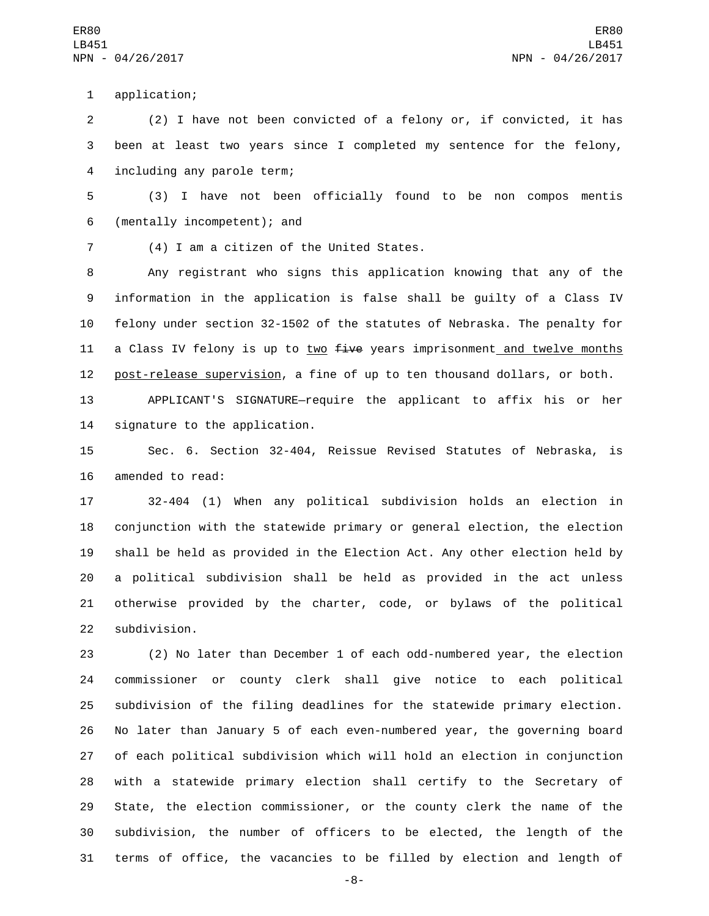application;1

2 (2) I have not been convicted of a felony or, if convicted, it has 3 been at least two years since I completed my sentence for the felony, 4 including any parole term;

5 (3) I have not been officially found to be non compos mentis (mentally incompetent); and6

(4) I am a citizen of the United States.7

8 Any registrant who signs this application knowing that any of the 9 information in the application is false shall be guilty of a Class IV 10 felony under section 32-1502 of the statutes of Nebraska. The penalty for 11 a Class IV felony is up to two five years imprisonment and twelve months 12 post-release supervision, a fine of up to ten thousand dollars, or both.

13 APPLICANT'S SIGNATURE—require the applicant to affix his or her 14 signature to the application.

15 Sec. 6. Section 32-404, Reissue Revised Statutes of Nebraska, is 16 amended to read:

 32-404 (1) When any political subdivision holds an election in conjunction with the statewide primary or general election, the election shall be held as provided in the Election Act. Any other election held by a political subdivision shall be held as provided in the act unless otherwise provided by the charter, code, or bylaws of the political 22 subdivision.

 (2) No later than December 1 of each odd-numbered year, the election commissioner or county clerk shall give notice to each political subdivision of the filing deadlines for the statewide primary election. No later than January 5 of each even-numbered year, the governing board of each political subdivision which will hold an election in conjunction with a statewide primary election shall certify to the Secretary of State, the election commissioner, or the county clerk the name of the subdivision, the number of officers to be elected, the length of the terms of office, the vacancies to be filled by election and length of

-8-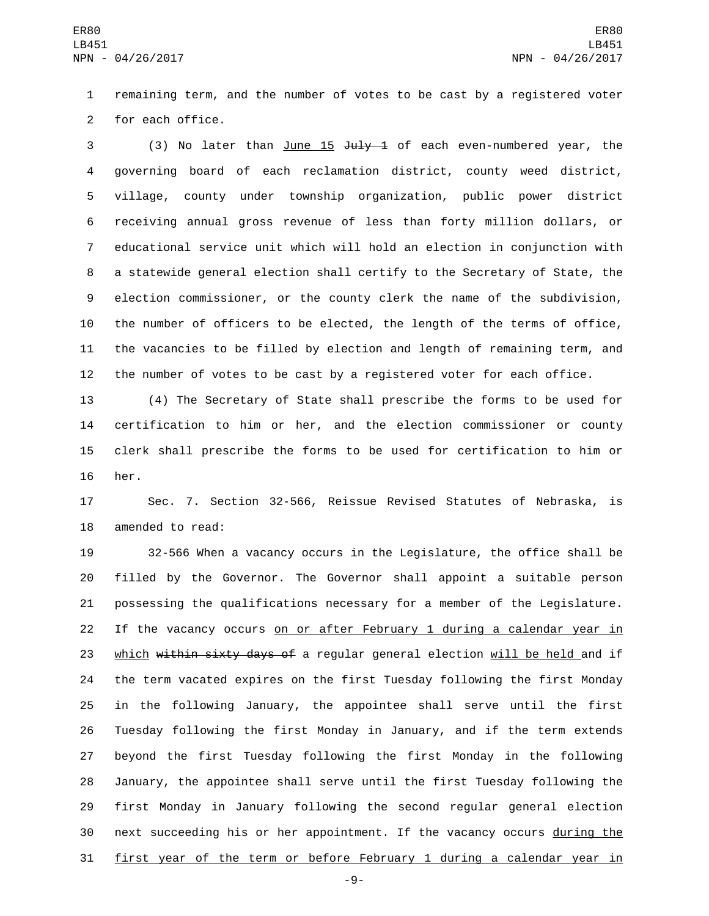remaining term, and the number of votes to be cast by a registered voter 2 for each office.

3 (3) No later than June 15 July 1 of each even-numbered year, the governing board of each reclamation district, county weed district, village, county under township organization, public power district receiving annual gross revenue of less than forty million dollars, or educational service unit which will hold an election in conjunction with a statewide general election shall certify to the Secretary of State, the election commissioner, or the county clerk the name of the subdivision, the number of officers to be elected, the length of the terms of office, the vacancies to be filled by election and length of remaining term, and the number of votes to be cast by a registered voter for each office.

 (4) The Secretary of State shall prescribe the forms to be used for certification to him or her, and the election commissioner or county clerk shall prescribe the forms to be used for certification to him or her.

 Sec. 7. Section 32-566, Reissue Revised Statutes of Nebraska, is 18 amended to read:

 32-566 When a vacancy occurs in the Legislature, the office shall be filled by the Governor. The Governor shall appoint a suitable person possessing the qualifications necessary for a member of the Legislature. If the vacancy occurs on or after February 1 during a calendar year in 23 which within sixty days of a regular general election will be held and if the term vacated expires on the first Tuesday following the first Monday in the following January, the appointee shall serve until the first Tuesday following the first Monday in January, and if the term extends beyond the first Tuesday following the first Monday in the following January, the appointee shall serve until the first Tuesday following the first Monday in January following the second regular general election 30 next succeeding his or her appointment. If the vacancy occurs during the first year of the term or before February 1 during a calendar year in

-9-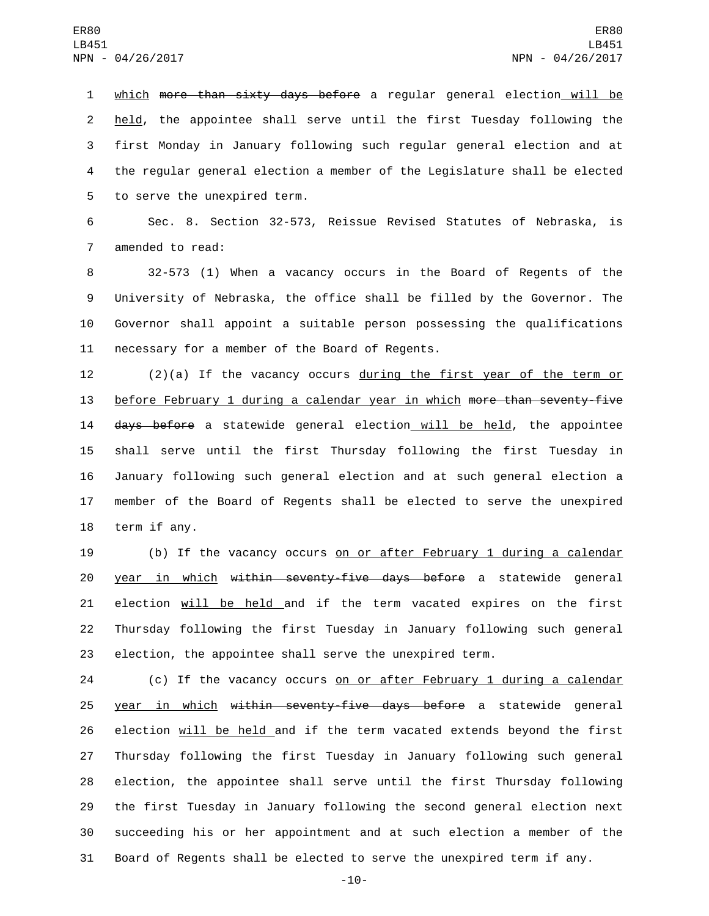which more than sixty days before a regular general election will be held, the appointee shall serve until the first Tuesday following the first Monday in January following such regular general election and at the regular general election a member of the Legislature shall be elected 5 to serve the unexpired term.

6 Sec. 8. Section 32-573, Reissue Revised Statutes of Nebraska, is 7 amended to read:

 32-573 (1) When a vacancy occurs in the Board of Regents of the University of Nebraska, the office shall be filled by the Governor. The Governor shall appoint a suitable person possessing the qualifications 11 necessary for a member of the Board of Regents.

12 (2)(a) If the vacancy occurs during the first year of the term or 13 before February 1 during a calendar year in which more than seventy-five 14 days before a statewide general election will be held, the appointee 15 shall serve until the first Thursday following the first Tuesday in 16 January following such general election and at such general election a 17 member of the Board of Regents shall be elected to serve the unexpired 18 term if any.

19 (b) If the vacancy occurs on or after February 1 during a calendar 20 year in which within seventy-five days before a statewide general 21 election will be held and if the term vacated expires on the first 22 Thursday following the first Tuesday in January following such general 23 election, the appointee shall serve the unexpired term.

24 (c) If the vacancy occurs on or after February 1 during a calendar 25 year in which within seventy-five days before a statewide general election will be held and if the term vacated extends beyond the first Thursday following the first Tuesday in January following such general election, the appointee shall serve until the first Thursday following the first Tuesday in January following the second general election next succeeding his or her appointment and at such election a member of the Board of Regents shall be elected to serve the unexpired term if any.

-10-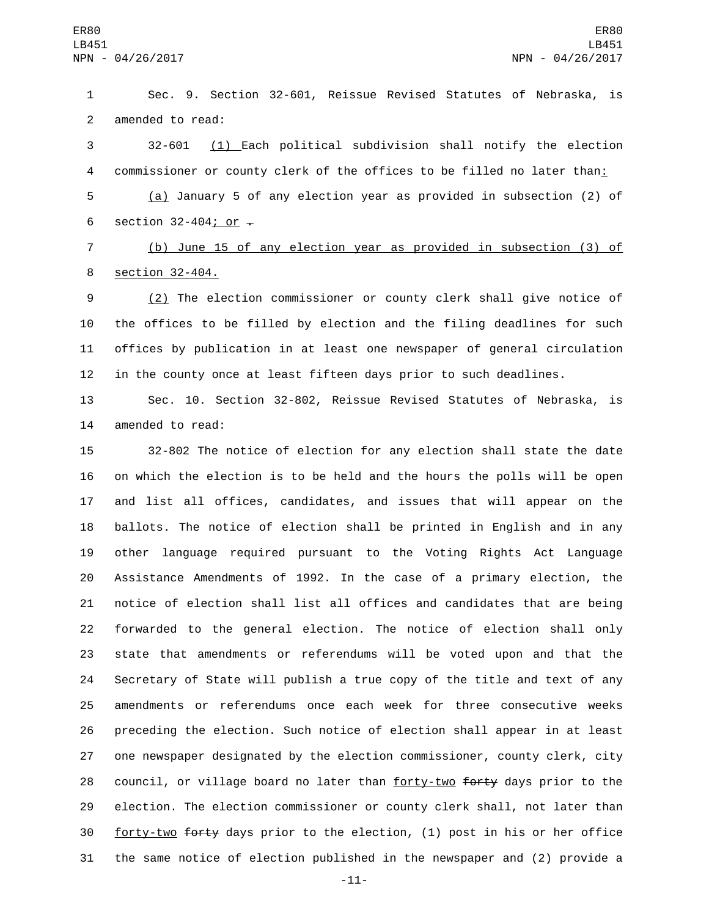Sec. 9. Section 32-601, Reissue Revised Statutes of Nebraska, is 2 amended to read:

 32-601 (1) Each political subdivision shall notify the election 4 commissioner or county clerk of the offices to be filled no later than:

 (a) January 5 of any election year as provided in subsection (2) of 6 section  $32-404$ ; or  $-$ 

 (b) June 15 of any election year as provided in subsection (3) of 8 section 32-404.

 (2) The election commissioner or county clerk shall give notice of the offices to be filled by election and the filing deadlines for such offices by publication in at least one newspaper of general circulation in the county once at least fifteen days prior to such deadlines.

 Sec. 10. Section 32-802, Reissue Revised Statutes of Nebraska, is 14 amended to read:

 32-802 The notice of election for any election shall state the date on which the election is to be held and the hours the polls will be open and list all offices, candidates, and issues that will appear on the ballots. The notice of election shall be printed in English and in any other language required pursuant to the Voting Rights Act Language Assistance Amendments of 1992. In the case of a primary election, the notice of election shall list all offices and candidates that are being forwarded to the general election. The notice of election shall only state that amendments or referendums will be voted upon and that the Secretary of State will publish a true copy of the title and text of any amendments or referendums once each week for three consecutive weeks preceding the election. Such notice of election shall appear in at least one newspaper designated by the election commissioner, county clerk, city 28 council, or village board no later than forty-two forty days prior to the election. The election commissioner or county clerk shall, not later than forty-two forty days prior to the election, (1) post in his or her office the same notice of election published in the newspaper and (2) provide a

-11-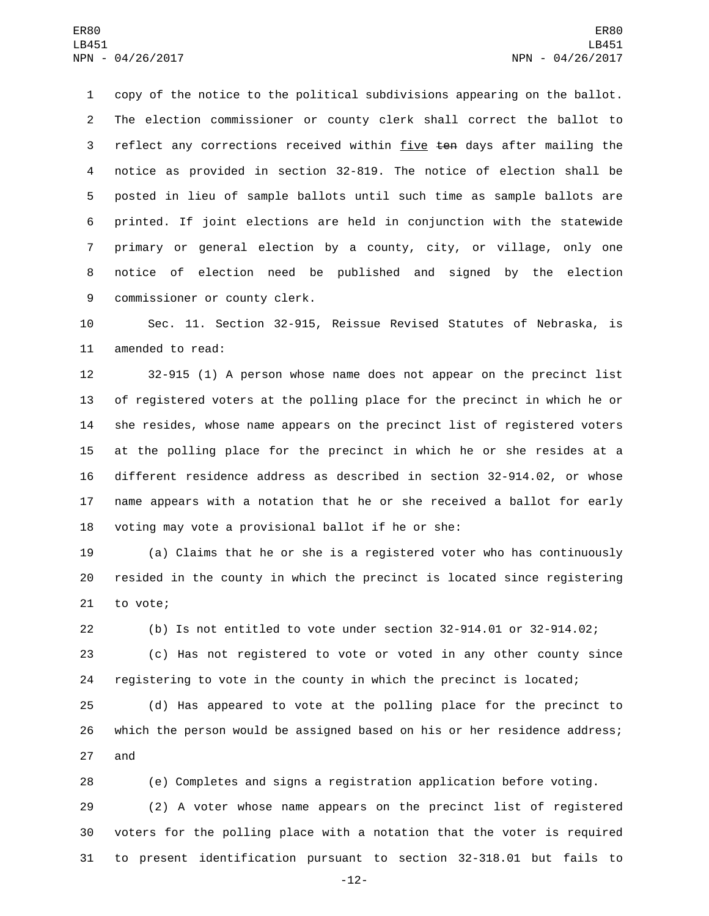copy of the notice to the political subdivisions appearing on the ballot. The election commissioner or county clerk shall correct the ballot to 3 reflect any corrections received within five ten days after mailing the notice as provided in section 32-819. The notice of election shall be posted in lieu of sample ballots until such time as sample ballots are printed. If joint elections are held in conjunction with the statewide primary or general election by a county, city, or village, only one notice of election need be published and signed by the election 9 commissioner or county clerk.

 Sec. 11. Section 32-915, Reissue Revised Statutes of Nebraska, is 11 amended to read:

 32-915 (1) A person whose name does not appear on the precinct list of registered voters at the polling place for the precinct in which he or she resides, whose name appears on the precinct list of registered voters at the polling place for the precinct in which he or she resides at a different residence address as described in section 32-914.02, or whose name appears with a notation that he or she received a ballot for early voting may vote a provisional ballot if he or she:

 (a) Claims that he or she is a registered voter who has continuously resided in the county in which the precinct is located since registering 21 to vote;

(b) Is not entitled to vote under section 32-914.01 or 32-914.02;

 (c) Has not registered to vote or voted in any other county since registering to vote in the county in which the precinct is located;

 (d) Has appeared to vote at the polling place for the precinct to which the person would be assigned based on his or her residence address; 27 and

(e) Completes and signs a registration application before voting.

 (2) A voter whose name appears on the precinct list of registered voters for the polling place with a notation that the voter is required to present identification pursuant to section 32-318.01 but fails to

-12-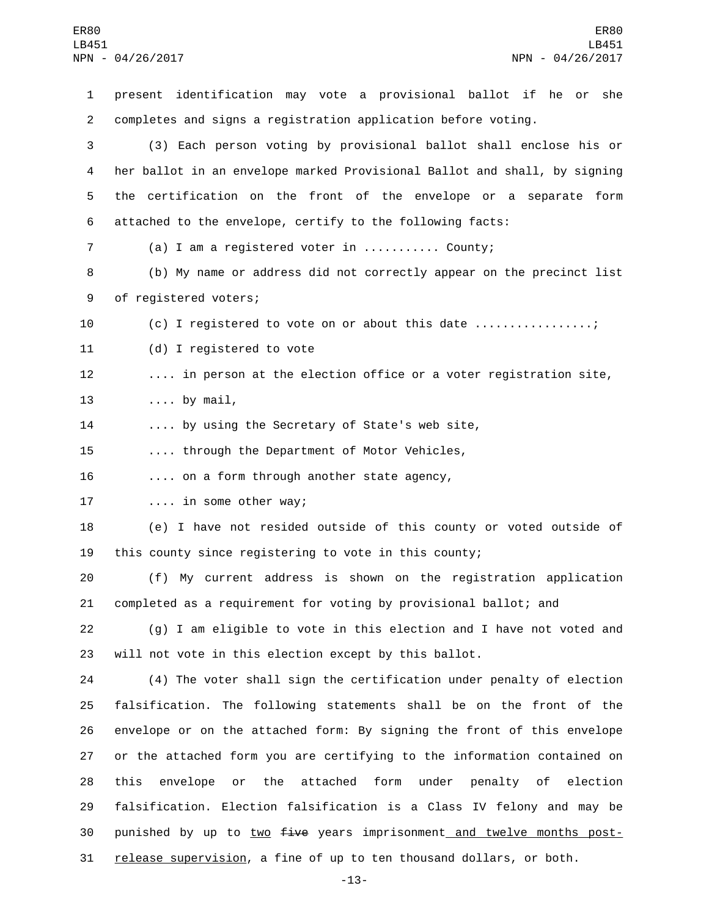present identification may vote a provisional ballot if he or she completes and signs a registration application before voting. (3) Each person voting by provisional ballot shall enclose his or her ballot in an envelope marked Provisional Ballot and shall, by signing the certification on the front of the envelope or a separate form attached to the envelope, certify to the following facts: (a) I am a registered voter in ........... County; (b) My name or address did not correctly appear on the precinct list 9 of registered voters; 10 (c) I registered to vote on or about this date ................; 11 (d) I registered to vote .... in person at the election office or a voter registration site, 13 .... by mail, .... by using the Secretary of State's web site, .... through the Department of Motor Vehicles, 16 .... on a form through another state agency, 17 .... in some other way; (e) I have not resided outside of this county or voted outside of this county since registering to vote in this county; (f) My current address is shown on the registration application completed as a requirement for voting by provisional ballot; and (g) I am eligible to vote in this election and I have not voted and will not vote in this election except by this ballot. (4) The voter shall sign the certification under penalty of election falsification. The following statements shall be on the front of the envelope or on the attached form: By signing the front of this envelope or the attached form you are certifying to the information contained on this envelope or the attached form under penalty of election falsification. Election falsification is a Class IV felony and may be 30 punished by up to two five years imprisonment and twelve months post-release supervision, a fine of up to ten thousand dollars, or both.

-13-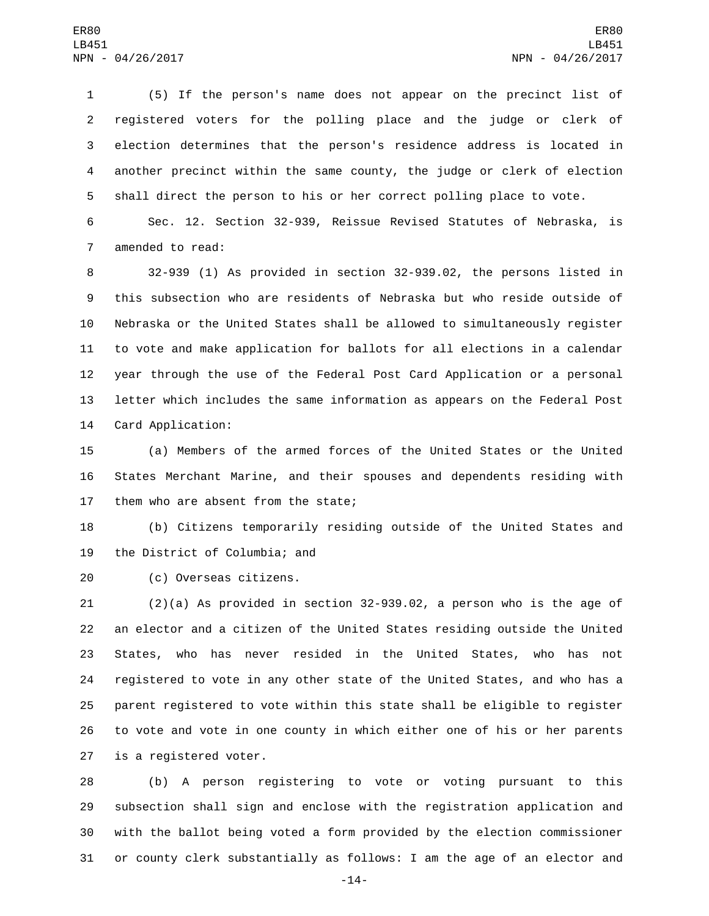(5) If the person's name does not appear on the precinct list of registered voters for the polling place and the judge or clerk of election determines that the person's residence address is located in another precinct within the same county, the judge or clerk of election shall direct the person to his or her correct polling place to vote.

 Sec. 12. Section 32-939, Reissue Revised Statutes of Nebraska, is 7 amended to read:

 32-939 (1) As provided in section 32-939.02, the persons listed in this subsection who are residents of Nebraska but who reside outside of Nebraska or the United States shall be allowed to simultaneously register to vote and make application for ballots for all elections in a calendar year through the use of the Federal Post Card Application or a personal letter which includes the same information as appears on the Federal Post 14 Card Application:

 (a) Members of the armed forces of the United States or the United States Merchant Marine, and their spouses and dependents residing with 17 them who are absent from the state;

 (b) Citizens temporarily residing outside of the United States and 19 the District of Columbia; and

(c) Overseas citizens.20

 (2)(a) As provided in section 32-939.02, a person who is the age of an elector and a citizen of the United States residing outside the United States, who has never resided in the United States, who has not registered to vote in any other state of the United States, and who has a parent registered to vote within this state shall be eligible to register to vote and vote in one county in which either one of his or her parents 27 is a registered voter.

 (b) A person registering to vote or voting pursuant to this subsection shall sign and enclose with the registration application and with the ballot being voted a form provided by the election commissioner or county clerk substantially as follows: I am the age of an elector and

-14-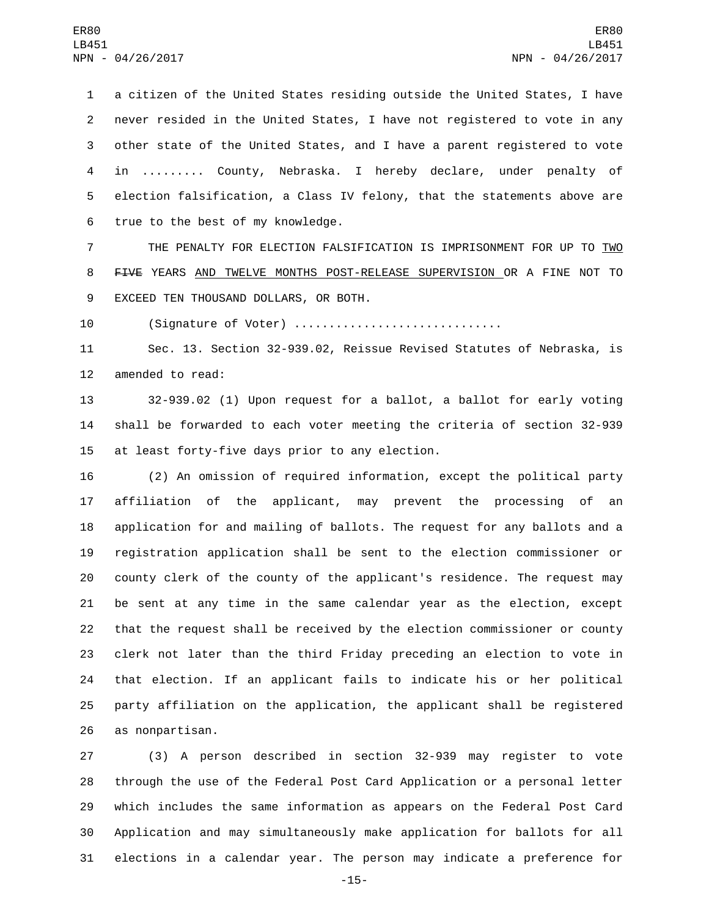a citizen of the United States residing outside the United States, I have never resided in the United States, I have not registered to vote in any other state of the United States, and I have a parent registered to vote in ......... County, Nebraska. I hereby declare, under penalty of election falsification, a Class IV felony, that the statements above are 6 true to the best of my knowledge.

7 THE PENALTY FOR ELECTION FALSIFICATION IS IMPRISONMENT FOR UP TO TWO FIVE YEARS AND TWELVE MONTHS POST-RELEASE SUPERVISION OR A FINE NOT TO 9 EXCEED TEN THOUSAND DOLLARS, OR BOTH.

(Signature of Voter) ..............................

 Sec. 13. Section 32-939.02, Reissue Revised Statutes of Nebraska, is 12 amended to read:

 32-939.02 (1) Upon request for a ballot, a ballot for early voting shall be forwarded to each voter meeting the criteria of section 32-939 15 at least forty-five days prior to any election.

 (2) An omission of required information, except the political party affiliation of the applicant, may prevent the processing of an application for and mailing of ballots. The request for any ballots and a registration application shall be sent to the election commissioner or county clerk of the county of the applicant's residence. The request may be sent at any time in the same calendar year as the election, except that the request shall be received by the election commissioner or county clerk not later than the third Friday preceding an election to vote in that election. If an applicant fails to indicate his or her political party affiliation on the application, the applicant shall be registered 26 as nonpartisan.

 (3) A person described in section 32-939 may register to vote through the use of the Federal Post Card Application or a personal letter which includes the same information as appears on the Federal Post Card Application and may simultaneously make application for ballots for all elections in a calendar year. The person may indicate a preference for

-15-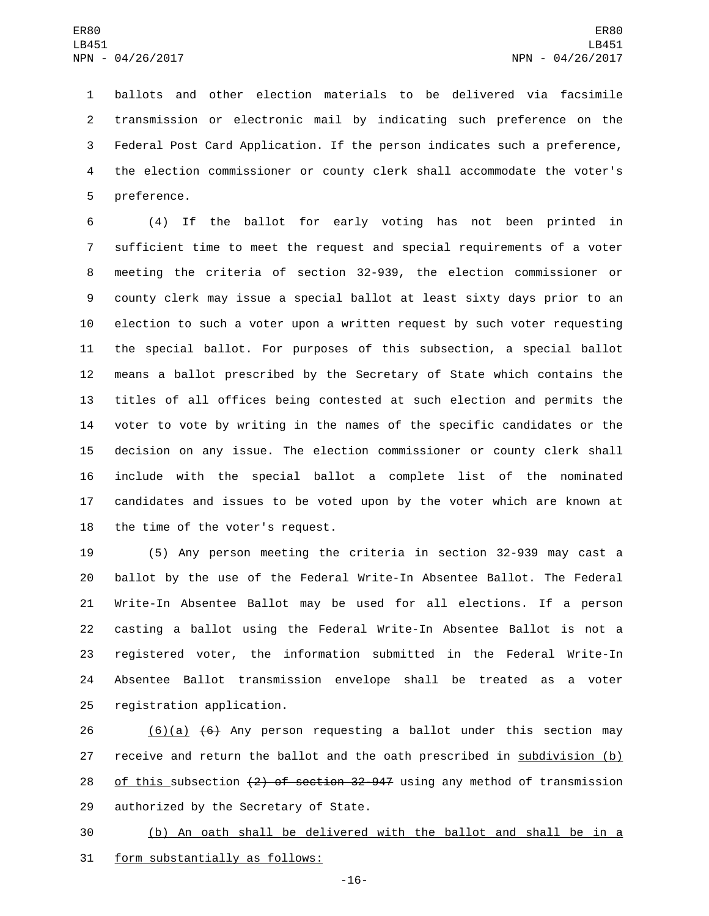ballots and other election materials to be delivered via facsimile transmission or electronic mail by indicating such preference on the Federal Post Card Application. If the person indicates such a preference, the election commissioner or county clerk shall accommodate the voter's 5 preference.

 (4) If the ballot for early voting has not been printed in sufficient time to meet the request and special requirements of a voter meeting the criteria of section 32-939, the election commissioner or county clerk may issue a special ballot at least sixty days prior to an election to such a voter upon a written request by such voter requesting the special ballot. For purposes of this subsection, a special ballot means a ballot prescribed by the Secretary of State which contains the titles of all offices being contested at such election and permits the voter to vote by writing in the names of the specific candidates or the decision on any issue. The election commissioner or county clerk shall include with the special ballot a complete list of the nominated candidates and issues to be voted upon by the voter which are known at 18 the time of the voter's request.

 (5) Any person meeting the criteria in section 32-939 may cast a ballot by the use of the Federal Write-In Absentee Ballot. The Federal Write-In Absentee Ballot may be used for all elections. If a person casting a ballot using the Federal Write-In Absentee Ballot is not a registered voter, the information submitted in the Federal Write-In Absentee Ballot transmission envelope shall be treated as a voter 25 registration application.

26 (6)(a)  $(6)$  Any person requesting a ballot under this section may 27 receive and return the ballot and the oath prescribed in subdivision (b) 28 of this subsection  $\{2\}$  of section 32-947 using any method of transmission 29 authorized by the Secretary of State.

 (b) An oath shall be delivered with the ballot and shall be in a 31 form substantially as follows:

-16-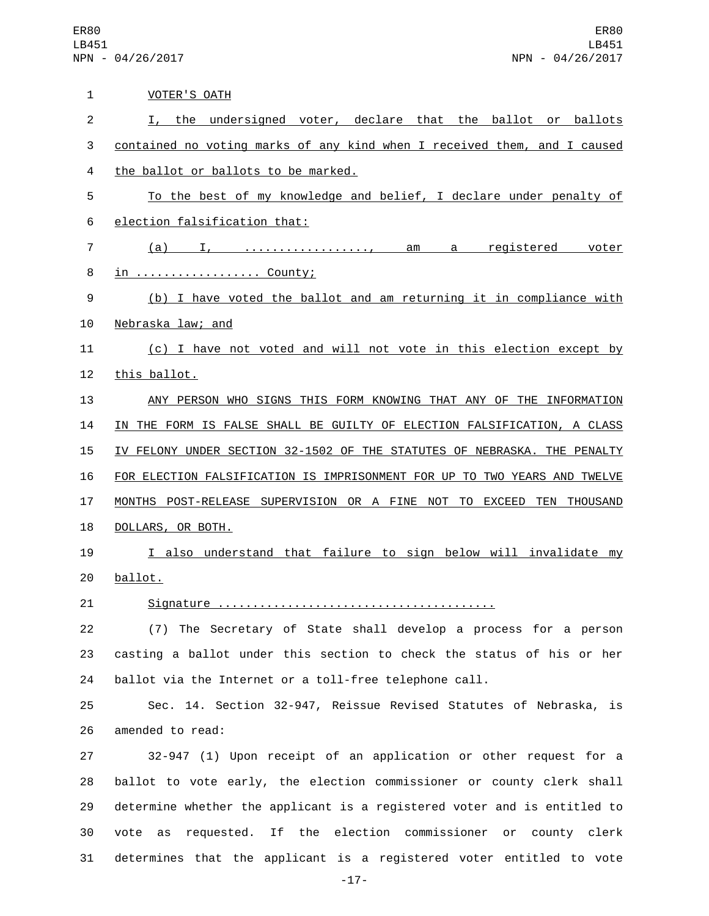ER80 LB451 NPN - 04/26/2017

| 1              | <b>VOTER'S OATH</b>                                                       |
|----------------|---------------------------------------------------------------------------|
| $\overline{2}$ | I, the undersigned voter, declare that the ballot or ballots              |
| 3              | contained no voting marks of any kind when I received them, and I caused  |
| 4              | the ballot or ballots to be marked.                                       |
| 5              | To the best of my knowledge and belief, I declare under penalty of        |
| 6              | election falsification that:                                              |
| 7              | (a) I, , am a registered voter                                            |
| 8              | <u>in  County;</u>                                                        |
| 9              | (b) I have voted the ballot and am returning it in compliance with        |
| 10             | Nebraska law; and                                                         |
| 11             | (c) I have not voted and will not vote in this election except by         |
| 12             | this ballot.                                                              |
| 13             | ANY PERSON WHO SIGNS THIS FORM KNOWING THAT ANY OF THE INFORMATION        |
| 14             | IN THE FORM IS FALSE SHALL BE GUILTY OF ELECTION FALSIFICATION, A CLASS   |
| 15             | IV FELONY UNDER SECTION 32-1502 OF THE STATUTES OF NEBRASKA. THE PENALTY  |
| 16             | FOR ELECTION FALSIFICATION IS IMPRISONMENT FOR UP TO TWO YEARS AND TWELVE |
| 17             | MONTHS POST-RELEASE SUPERVISION OR A FINE NOT TO EXCEED TEN THOUSAND      |
| 18             | DOLLARS, OR BOTH.                                                         |
| 19             | I also understand that failure to sign below will invalidate my           |
| 20             | ballot.                                                                   |
| 21             |                                                                           |
| 22             | (7) The Secretary of State shall develop a process for a person           |
| 23             | casting a ballot under this section to check the status of his or her     |
| 24             | ballot via the Internet or a toll-free telephone call.                    |
| 25             | Sec. 14. Section 32-947, Reissue Revised Statutes of Nebraska, is         |
| 26             | amended to read:                                                          |
| 27             | 32-947 (1) Upon receipt of an application or other request for a          |
| 28             | ballot to vote early, the election commissioner or county clerk shall     |
| 29             | determine whether the applicant is a registered voter and is entitled to  |
| 30             | requested. If the election commissioner or county clerk<br>vote<br>as     |

31 determines that the applicant is a registered voter entitled to vote -17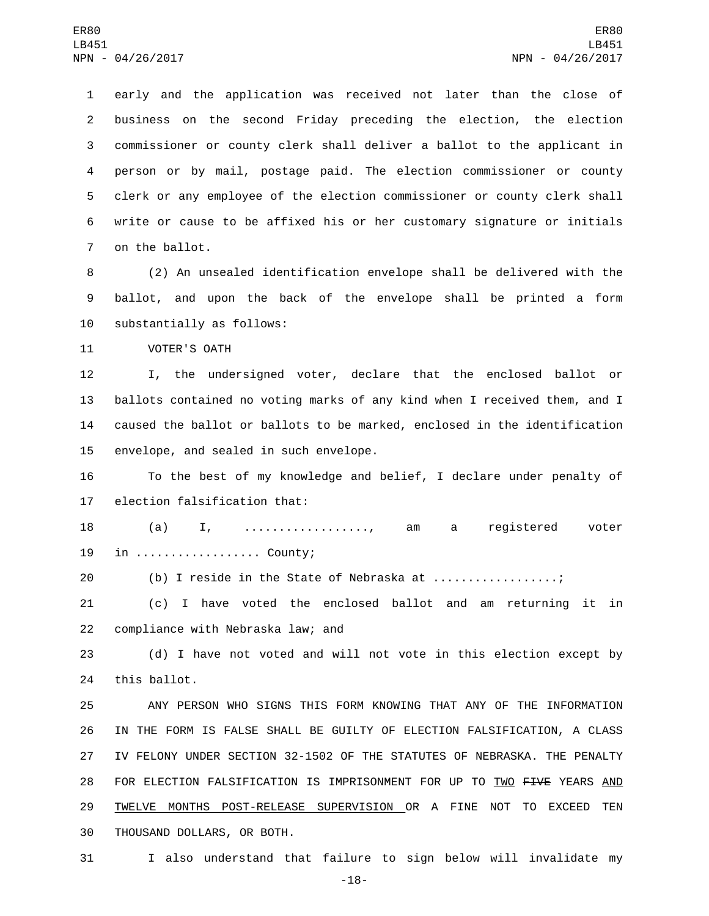early and the application was received not later than the close of business on the second Friday preceding the election, the election commissioner or county clerk shall deliver a ballot to the applicant in person or by mail, postage paid. The election commissioner or county clerk or any employee of the election commissioner or county clerk shall write or cause to be affixed his or her customary signature or initials 7 on the ballot.

8 (2) An unsealed identification envelope shall be delivered with the 9 ballot, and upon the back of the envelope shall be printed a form 10 substantially as follows:

11 VOTER'S OATH

 I, the undersigned voter, declare that the enclosed ballot or ballots contained no voting marks of any kind when I received them, and I caused the ballot or ballots to be marked, enclosed in the identification 15 envelope, and sealed in such envelope.

16 To the best of my knowledge and belief, I declare under penalty of 17 election falsification that:

18 (a) I, .................., am a registered voter 19 in ................... County;

20 (b) I reside in the State of Nebraska at ..................;

21 (c) I have voted the enclosed ballot and am returning it in 22 compliance with Nebraska law; and

23 (d) I have not voted and will not vote in this election except by 24 this ballot.

 ANY PERSON WHO SIGNS THIS FORM KNOWING THAT ANY OF THE INFORMATION IN THE FORM IS FALSE SHALL BE GUILTY OF ELECTION FALSIFICATION, A CLASS IV FELONY UNDER SECTION 32-1502 OF THE STATUTES OF NEBRASKA. THE PENALTY 28 FOR ELECTION FALSIFICATION IS IMPRISONMENT FOR UP TO TWO FIVE YEARS AND TWELVE MONTHS POST-RELEASE SUPERVISION OR A FINE NOT TO EXCEED TEN 30 THOUSAND DOLLARS, OR BOTH.

31 I also understand that failure to sign below will invalidate my

-18-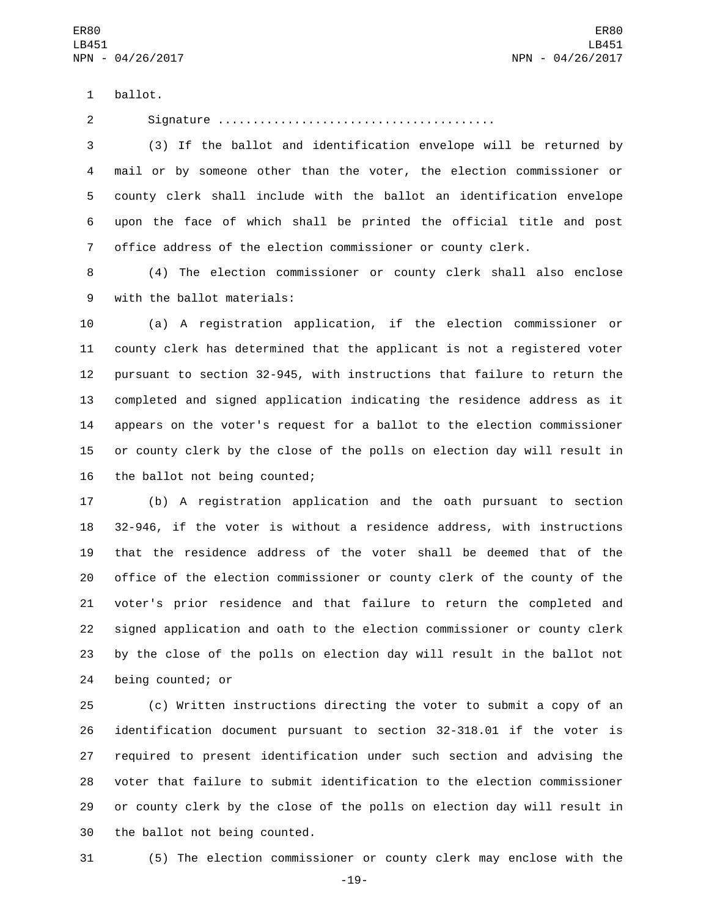1 ballot.

Signature ........................................

 (3) If the ballot and identification envelope will be returned by mail or by someone other than the voter, the election commissioner or county clerk shall include with the ballot an identification envelope upon the face of which shall be printed the official title and post office address of the election commissioner or county clerk.

 (4) The election commissioner or county clerk shall also enclose 9 with the ballot materials:

 (a) A registration application, if the election commissioner or county clerk has determined that the applicant is not a registered voter pursuant to section 32-945, with instructions that failure to return the completed and signed application indicating the residence address as it appears on the voter's request for a ballot to the election commissioner or county clerk by the close of the polls on election day will result in 16 the ballot not being counted;

 (b) A registration application and the oath pursuant to section 32-946, if the voter is without a residence address, with instructions that the residence address of the voter shall be deemed that of the office of the election commissioner or county clerk of the county of the voter's prior residence and that failure to return the completed and signed application and oath to the election commissioner or county clerk by the close of the polls on election day will result in the ballot not 24 being counted; or

 (c) Written instructions directing the voter to submit a copy of an identification document pursuant to section 32-318.01 if the voter is required to present identification under such section and advising the voter that failure to submit identification to the election commissioner or county clerk by the close of the polls on election day will result in 30 the ballot not being counted.

(5) The election commissioner or county clerk may enclose with the

-19-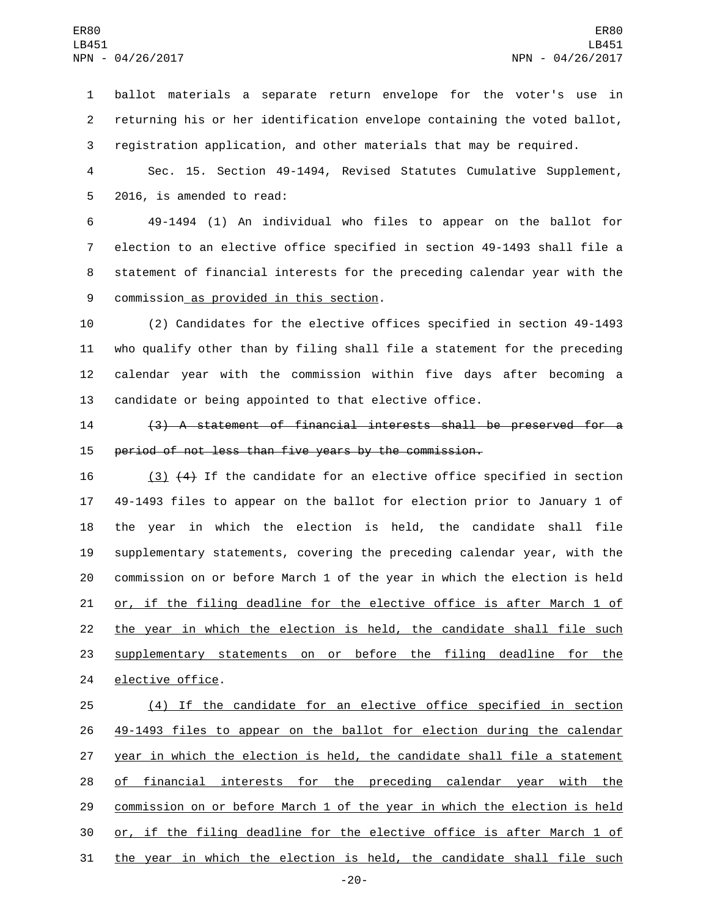ballot materials a separate return envelope for the voter's use in returning his or her identification envelope containing the voted ballot, registration application, and other materials that may be required.

 Sec. 15. Section 49-1494, Revised Statutes Cumulative Supplement, 5 2016, is amended to read:

 49-1494 (1) An individual who files to appear on the ballot for election to an elective office specified in section 49-1493 shall file a statement of financial interests for the preceding calendar year with the 9 commission as provided in this section.

 (2) Candidates for the elective offices specified in section 49-1493 who qualify other than by filing shall file a statement for the preceding calendar year with the commission within five days after becoming a candidate or being appointed to that elective office.

 (3) A statement of financial interests shall be preserved for a period of not less than five years by the commission.

 (3) (4) If the candidate for an elective office specified in section 49-1493 files to appear on the ballot for election prior to January 1 of the year in which the election is held, the candidate shall file supplementary statements, covering the preceding calendar year, with the commission on or before March 1 of the year in which the election is held 21 or, if the filing deadline for the elective office is after March 1 of the year in which the election is held, the candidate shall file such 23 supplementary statements on or before the filing deadline for the 24 elective office.

 (4) If the candidate for an elective office specified in section 49-1493 files to appear on the ballot for election during the calendar 27 year in which the election is held, the candidate shall file a statement of financial interests for the preceding calendar year with the commission on or before March 1 of the year in which the election is held or, if the filing deadline for the elective office is after March 1 of the year in which the election is held, the candidate shall file such

-20-